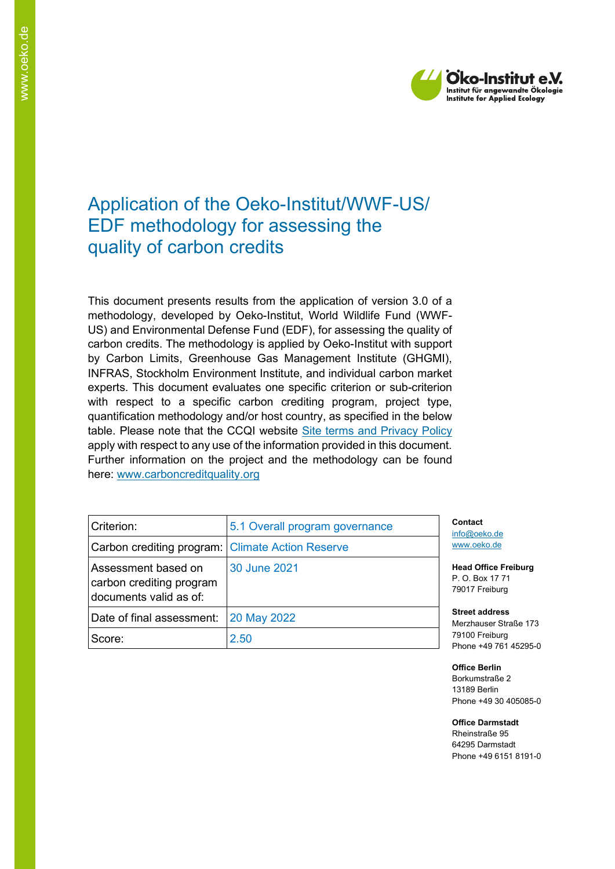

# Application of the Oeko-Institut/WWF-US/ EDF methodology for assessing the quality of carbon credits

This document presents results from the application of version 3.0 of a methodology, developed by Oeko-Institut, World Wildlife Fund (WWF-US) and Environmental Defense Fund (EDF), for assessing the quality of carbon credits. The methodology is applied by Oeko-Institut with support by Carbon Limits, Greenhouse Gas Management Institute (GHGMI), INFRAS, Stockholm Environment Institute, and individual carbon market experts. This document evaluates one specific criterion or sub-criterion with respect to a specific carbon crediting program, project type, quantification methodology and/or host country, as specified in the below table. Please note that the CCQI website [Site terms and Privacy Policy](https://carboncreditquality.org/terms.html) apply with respect to any use of the information provided in this document. Further information on the project and the methodology can be found here: [www.carboncreditquality.org](http://www.carboncreditquality.org/)

| Criterion:                                                                | 5.1 Overall program governance | C)<br>int      |
|---------------------------------------------------------------------------|--------------------------------|----------------|
| Carbon crediting program: Climate Action Reserve                          |                                | W              |
| Assessment based on<br>carbon crediting program<br>documents valid as of: | 30 June 2021                   | H<br>Р.<br>79  |
| Date of final assessment:                                                 | 20 May 2022                    | <b>St</b><br>M |
| Score:                                                                    | 2.50                           | 79<br>Pł       |

**Contact** fo@oeko.de [www.oeko.de](http://www.oeko.de/)

**Head Office Freiburg** P. O. Box 17 71 9017 Freiburg

**Street address** Merzhauser Straße 173 9100 Freiburg hone +49 761 45295-0

**Office Berlin** Borkumstraße 2 13189 Berlin Phone +49 30 405085-0

**Office Darmstadt** Rheinstraße 95

64295 Darmstadt Phone +49 6151 8191-0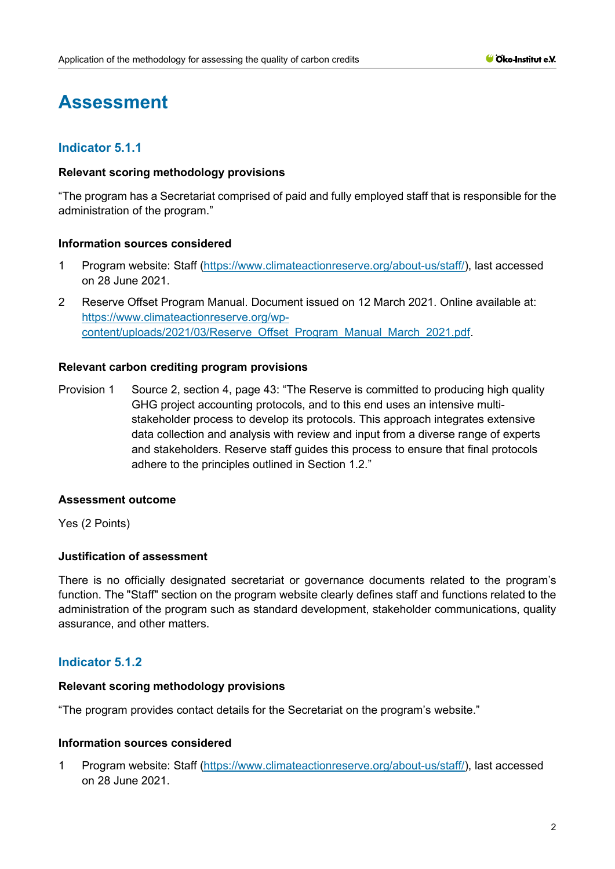# **Assessment**

# **Indicator 5.1.1**

## **Relevant scoring methodology provisions**

"The program has a Secretariat comprised of paid and fully employed staff that is responsible for the administration of the program."

## **Information sources considered**

- 1 Program website: Staff [\(https://www.climateactionreserve.org/about-us/staff/\)](https://www.climateactionreserve.org/about-us/staff/), last accessed on 28 June 2021.
- 2 Reserve Offset Program Manual. Document issued on 12 March 2021. Online available at: [https://www.climateactionreserve.org/wp](https://www.climateactionreserve.org/wp-content/uploads/2021/03/Reserve_Offset_Program_Manual_March_2021.pdf)[content/uploads/2021/03/Reserve\\_Offset\\_Program\\_Manual\\_March\\_2021.pdf.](https://www.climateactionreserve.org/wp-content/uploads/2021/03/Reserve_Offset_Program_Manual_March_2021.pdf)

### **Relevant carbon crediting program provisions**

Provision 1 Source 2, section 4, page 43: "The Reserve is committed to producing high quality GHG project accounting protocols, and to this end uses an intensive multistakeholder process to develop its protocols. This approach integrates extensive data collection and analysis with review and input from a diverse range of experts and stakeholders. Reserve staff guides this process to ensure that final protocols adhere to the principles outlined in Section 1.2."

## **Assessment outcome**

Yes (2 Points)

## **Justification of assessment**

There is no officially designated secretariat or governance documents related to the program's function. The "Staff" section on the program website clearly defines staff and functions related to the administration of the program such as standard development, stakeholder communications, quality assurance, and other matters.

# **Indicator 5.1.2**

#### **Relevant scoring methodology provisions**

"The program provides contact details for the Secretariat on the program's website."

## **Information sources considered**

1 Program website: Staff [\(https://www.climateactionreserve.org/about-us/staff/\)](https://www.climateactionreserve.org/about-us/staff/), last accessed on 28 June 2021.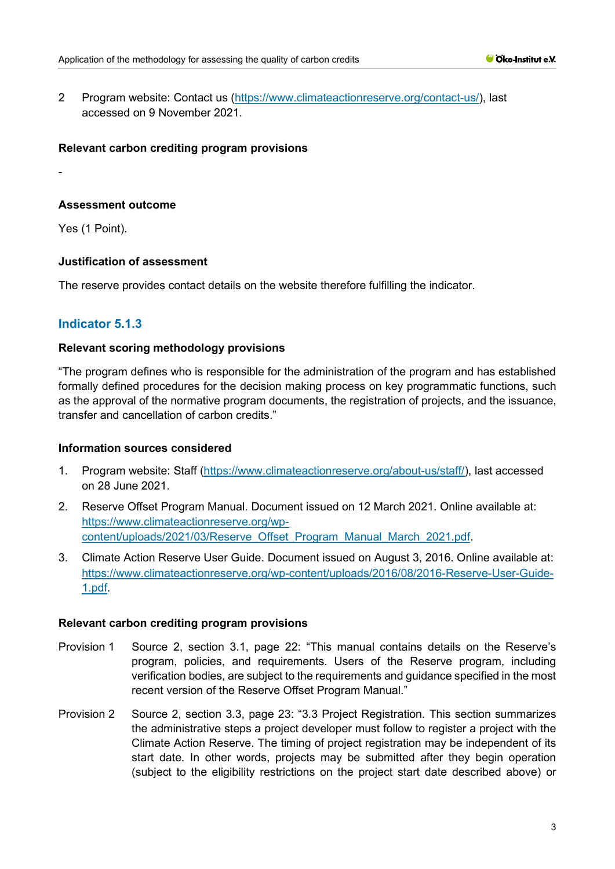2 Program website: Contact us [\(https://www.climateactionreserve.org/contact-us/\)](https://www.climateactionreserve.org/contact-us/), last accessed on 9 November 2021.

### **Relevant carbon crediting program provisions**

#### **Assessment outcome**

Yes (1 Point).

-

### **Justification of assessment**

The reserve provides contact details on the website therefore fulfilling the indicator.

## **Indicator 5.1.3**

### **Relevant scoring methodology provisions**

"The program defines who is responsible for the administration of the program and has established formally defined procedures for the decision making process on key programmatic functions, such as the approval of the normative program documents, the registration of projects, and the issuance, transfer and cancellation of carbon credits."

#### **Information sources considered**

- 1. Program website: Staff [\(https://www.climateactionreserve.org/about-us/staff/\)](https://www.climateactionreserve.org/about-us/staff/), last accessed on 28 June 2021.
- 2. Reserve Offset Program Manual. Document issued on 12 March 2021. Online available at: [https://www.climateactionreserve.org/wp](https://www.climateactionreserve.org/wp-content/uploads/2021/03/Reserve_Offset_Program_Manual_March_2021.pdf)[content/uploads/2021/03/Reserve\\_Offset\\_Program\\_Manual\\_March\\_2021.pdf.](https://www.climateactionreserve.org/wp-content/uploads/2021/03/Reserve_Offset_Program_Manual_March_2021.pdf)
- 3. Climate Action Reserve User Guide. Document issued on August 3, 2016. Online available at: [https://www.climateactionreserve.org/wp-content/uploads/2016/08/2016-Reserve-User-Guide-](https://www.climateactionreserve.org/wp-content/uploads/2016/08/2016-Reserve-User-Guide-1.pdf)[1.pdf.](https://www.climateactionreserve.org/wp-content/uploads/2016/08/2016-Reserve-User-Guide-1.pdf)

#### **Relevant carbon crediting program provisions**

- Provision 1 Source 2, section 3.1, page 22: "This manual contains details on the Reserve's program, policies, and requirements. Users of the Reserve program, including verification bodies, are subject to the requirements and guidance specified in the most recent version of the Reserve Offset Program Manual."
- Provision 2 Source 2, section 3.3, page 23: "3.3 Project Registration. This section summarizes the administrative steps a project developer must follow to register a project with the Climate Action Reserve. The timing of project registration may be independent of its start date. In other words, projects may be submitted after they begin operation (subject to the eligibility restrictions on the project start date described above) or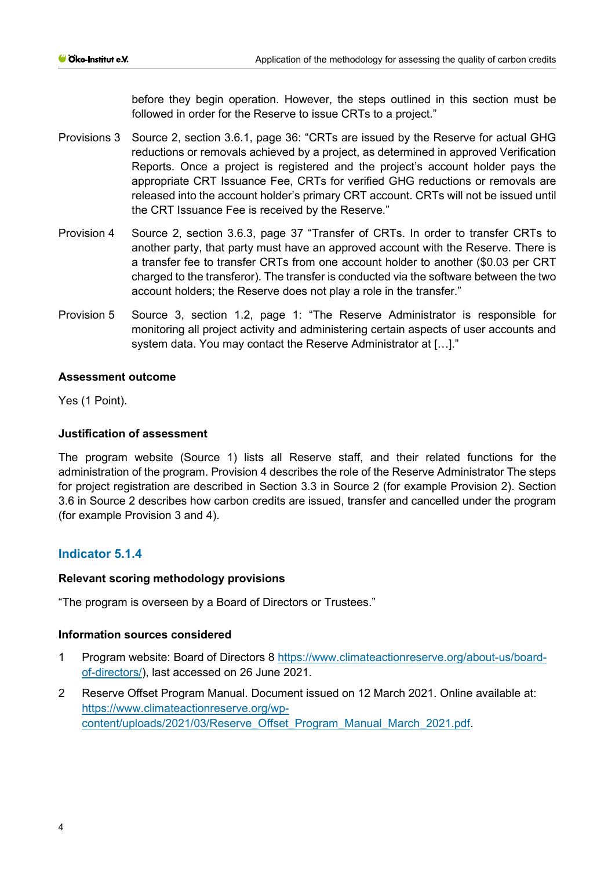before they begin operation. However, the steps outlined in this section must be followed in order for the Reserve to issue CRTs to a project."

- Provisions 3 Source 2, section 3.6.1, page 36: "CRTs are issued by the Reserve for actual GHG reductions or removals achieved by a project, as determined in approved Verification Reports. Once a project is registered and the project's account holder pays the appropriate CRT Issuance Fee, CRTs for verified GHG reductions or removals are released into the account holder's primary CRT account. CRTs will not be issued until the CRT Issuance Fee is received by the Reserve."
- Provision 4 Source 2, section 3.6.3, page 37 "Transfer of CRTs. In order to transfer CRTs to another party, that party must have an approved account with the Reserve. There is a transfer fee to transfer CRTs from one account holder to another (\$0.03 per CRT charged to the transferor). The transfer is conducted via the software between the two account holders; the Reserve does not play a role in the transfer."
- Provision 5 Source 3, section 1.2, page 1: "The Reserve Administrator is responsible for monitoring all project activity and administering certain aspects of user accounts and system data. You may contact the Reserve Administrator at […]."

## **Assessment outcome**

Yes (1 Point).

## **Justification of assessment**

The program website (Source 1) lists all Reserve staff, and their related functions for the administration of the program. Provision 4 describes the role of the Reserve Administrator The steps for project registration are described in Section 3.3 in Source 2 (for example Provision 2). Section 3.6 in Source 2 describes how carbon credits are issued, transfer and cancelled under the program (for example Provision 3 and 4).

# **Indicator 5.1.4**

## **Relevant scoring methodology provisions**

"The program is overseen by a Board of Directors or Trustees."

## **Information sources considered**

- 1 Program website: Board of Directors 8 [https://www.climateactionreserve.org/about-us/board](https://www.climateactionreserve.org/about-us/board-of-directors/)[of-directors/\)](https://www.climateactionreserve.org/about-us/board-of-directors/), last accessed on 26 June 2021.
- 2 Reserve Offset Program Manual. Document issued on 12 March 2021. Online available at: [https://www.climateactionreserve.org/wp](https://www.climateactionreserve.org/wp-content/uploads/2021/03/Reserve_Offset_Program_Manual_March_2021.pdf)[content/uploads/2021/03/Reserve\\_Offset\\_Program\\_Manual\\_March\\_2021.pdf.](https://www.climateactionreserve.org/wp-content/uploads/2021/03/Reserve_Offset_Program_Manual_March_2021.pdf)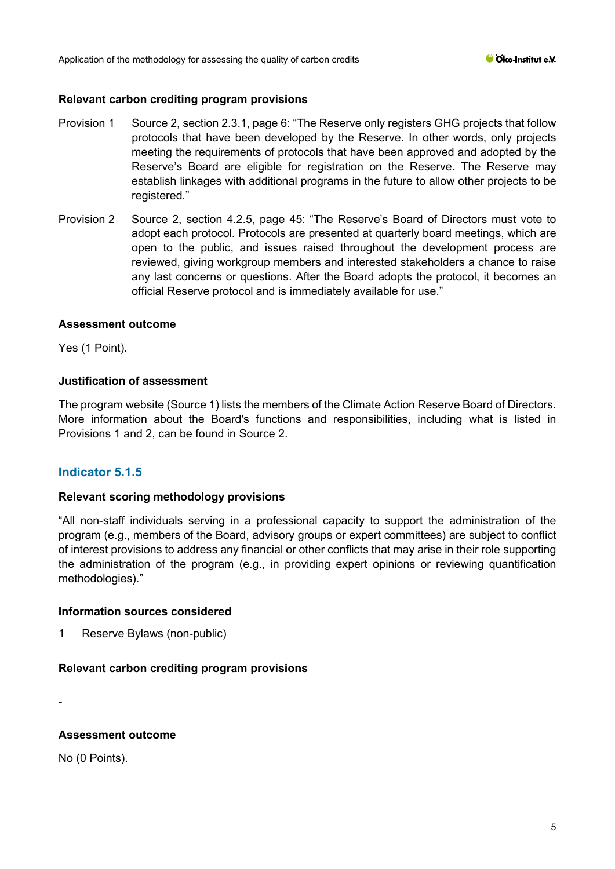## **Relevant carbon crediting program provisions**

- Provision 1 Source 2, section 2.3.1, page 6: "The Reserve only registers GHG projects that follow protocols that have been developed by the Reserve. In other words, only projects meeting the requirements of protocols that have been approved and adopted by the Reserve's Board are eligible for registration on the Reserve. The Reserve may establish linkages with additional programs in the future to allow other projects to be registered."
- Provision 2 Source 2, section 4.2.5, page 45: "The Reserve's Board of Directors must vote to adopt each protocol. Protocols are presented at quarterly board meetings, which are open to the public, and issues raised throughout the development process are reviewed, giving workgroup members and interested stakeholders a chance to raise any last concerns or questions. After the Board adopts the protocol, it becomes an official Reserve protocol and is immediately available for use."

### **Assessment outcome**

Yes (1 Point).

## **Justification of assessment**

The program website (Source 1) lists the members of the Climate Action Reserve Board of Directors. More information about the Board's functions and responsibilities, including what is listed in Provisions 1 and 2, can be found in Source 2.

## **Indicator 5.1.5**

#### **Relevant scoring methodology provisions**

"All non-staff individuals serving in a professional capacity to support the administration of the program (e.g., members of the Board, advisory groups or expert committees) are subject to conflict of interest provisions to address any financial or other conflicts that may arise in their role supporting the administration of the program (e.g., in providing expert opinions or reviewing quantification methodologies)."

#### **Information sources considered**

1 Reserve Bylaws (non-public)

#### **Relevant carbon crediting program provisions**

-

## **Assessment outcome**

No (0 Points).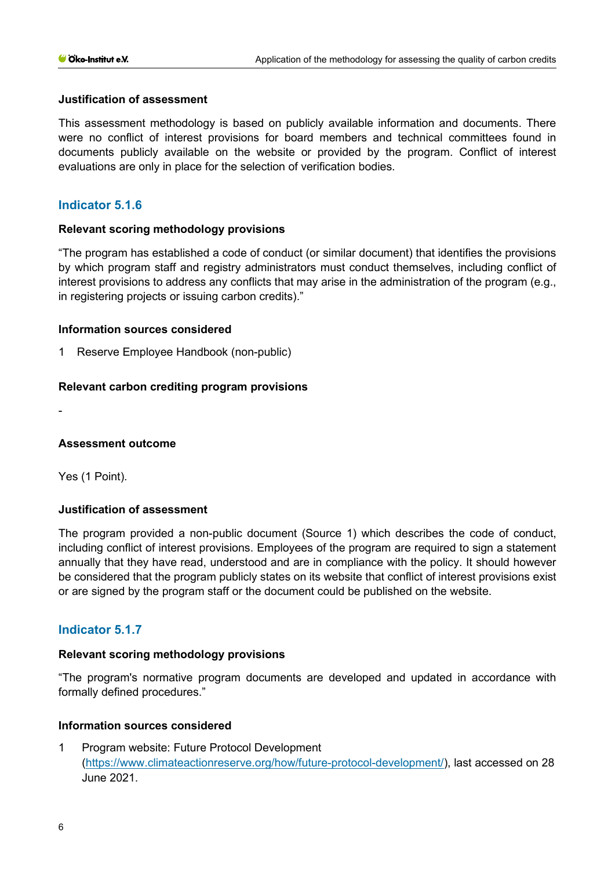## **Justification of assessment**

This assessment methodology is based on publicly available information and documents. There were no conflict of interest provisions for board members and technical committees found in documents publicly available on the website or provided by the program. Conflict of interest evaluations are only in place for the selection of verification bodies.

## **Indicator 5.1.6**

## **Relevant scoring methodology provisions**

"The program has established a code of conduct (or similar document) that identifies the provisions by which program staff and registry administrators must conduct themselves, including conflict of interest provisions to address any conflicts that may arise in the administration of the program (e.g., in registering projects or issuing carbon credits)."

### **Information sources considered**

1 Reserve Employee Handbook (non-public)

### **Relevant carbon crediting program provisions**

-

#### **Assessment outcome**

Yes (1 Point).

## **Justification of assessment**

The program provided a non-public document (Source 1) which describes the code of conduct, including conflict of interest provisions. Employees of the program are required to sign a statement annually that they have read, understood and are in compliance with the policy. It should however be considered that the program publicly states on its website that conflict of interest provisions exist or are signed by the program staff or the document could be published on the website.

## **Indicator 5.1.7**

#### **Relevant scoring methodology provisions**

"The program's normative program documents are developed and updated in accordance with formally defined procedures."

#### **Information sources considered**

1 Program website: Future Protocol Development [\(https://www.climateactionreserve.org/how/future-protocol-development/\)](https://www.climateactionreserve.org/how/future-protocol-development/), last accessed on 28 June 2021.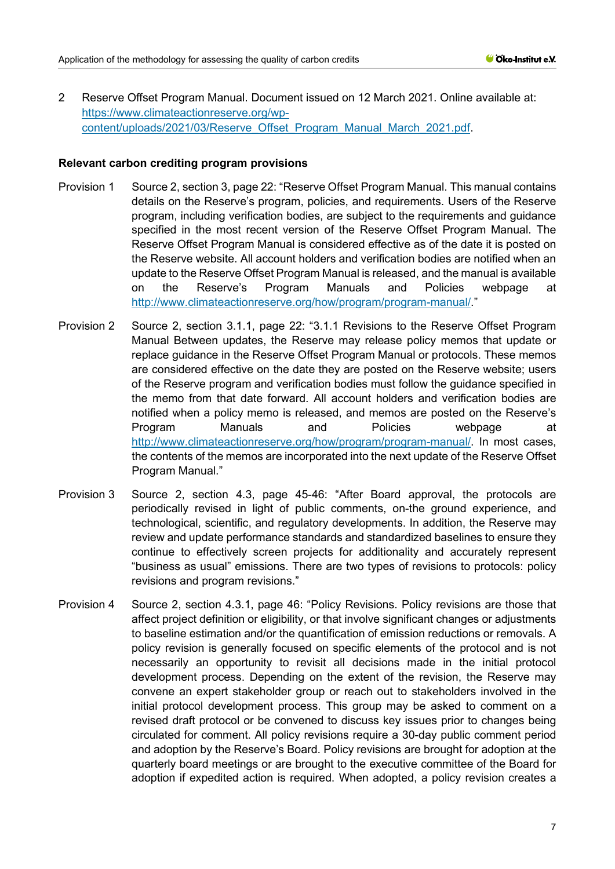2 Reserve Offset Program Manual. Document issued on 12 March 2021. Online available at: [https://www.climateactionreserve.org/wp](https://www.climateactionreserve.org/wp-content/uploads/2021/03/Reserve_Offset_Program_Manual_March_2021.pdf)[content/uploads/2021/03/Reserve\\_Offset\\_Program\\_Manual\\_March\\_2021.pdf.](https://www.climateactionreserve.org/wp-content/uploads/2021/03/Reserve_Offset_Program_Manual_March_2021.pdf)

#### **Relevant carbon crediting program provisions**

- Provision 1 Source 2, section 3, page 22: "Reserve Offset Program Manual. This manual contains details on the Reserve's program, policies, and requirements. Users of the Reserve program, including verification bodies, are subject to the requirements and guidance specified in the most recent version of the Reserve Offset Program Manual. The Reserve Offset Program Manual is considered effective as of the date it is posted on the Reserve website. All account holders and verification bodies are notified when an update to the Reserve Offset Program Manual is released, and the manual is available on the Reserve's Program Manuals and Policies webpage at [http://www.climateactionreserve.org/how/program/program-manual/.](http://www.climateactionreserve.org/how/program/program-manual/)"
- Provision 2 Source 2, section 3.1.1, page 22: "3.1.1 Revisions to the Reserve Offset Program Manual Between updates, the Reserve may release policy memos that update or replace guidance in the Reserve Offset Program Manual or protocols. These memos are considered effective on the date they are posted on the Reserve website; users of the Reserve program and verification bodies must follow the guidance specified in the memo from that date forward. All account holders and verification bodies are notified when a policy memo is released, and memos are posted on the Reserve's Program Manuals and Policies webpage at [http://www.climateactionreserve.org/how/program/program-manual/.](http://www.climateactionreserve.org/how/program/program-manual/) In most cases, the contents of the memos are incorporated into the next update of the Reserve Offset Program Manual."
- Provision 3 Source 2, section 4.3, page 45-46: "After Board approval, the protocols are periodically revised in light of public comments, on-the ground experience, and technological, scientific, and regulatory developments. In addition, the Reserve may review and update performance standards and standardized baselines to ensure they continue to effectively screen projects for additionality and accurately represent "business as usual" emissions. There are two types of revisions to protocols: policy revisions and program revisions."
- Provision 4 Source 2, section 4.3.1, page 46: "Policy Revisions. Policy revisions are those that affect project definition or eligibility, or that involve significant changes or adjustments to baseline estimation and/or the quantification of emission reductions or removals. A policy revision is generally focused on specific elements of the protocol and is not necessarily an opportunity to revisit all decisions made in the initial protocol development process. Depending on the extent of the revision, the Reserve may convene an expert stakeholder group or reach out to stakeholders involved in the initial protocol development process. This group may be asked to comment on a revised draft protocol or be convened to discuss key issues prior to changes being circulated for comment. All policy revisions require a 30-day public comment period and adoption by the Reserve's Board. Policy revisions are brought for adoption at the quarterly board meetings or are brought to the executive committee of the Board for adoption if expedited action is required. When adopted, a policy revision creates a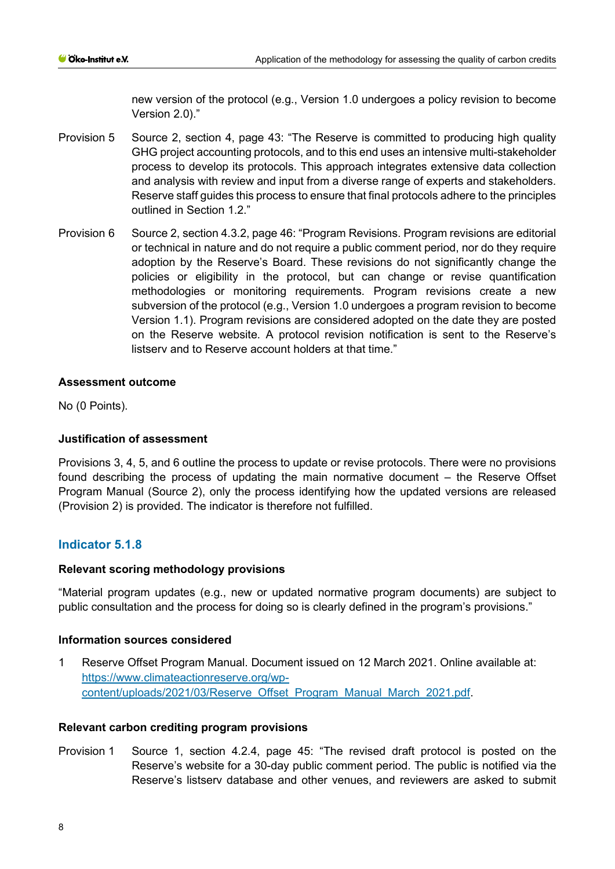new version of the protocol (e.g., Version 1.0 undergoes a policy revision to become Version 2.0)."

- Provision 5 Source 2, section 4, page 43: "The Reserve is committed to producing high quality GHG project accounting protocols, and to this end uses an intensive multi-stakeholder process to develop its protocols. This approach integrates extensive data collection and analysis with review and input from a diverse range of experts and stakeholders. Reserve staff guides this process to ensure that final protocols adhere to the principles outlined in Section 1.2."
- Provision 6 Source 2, section 4.3.2, page 46: "Program Revisions. Program revisions are editorial or technical in nature and do not require a public comment period, nor do they require adoption by the Reserve's Board. These revisions do not significantly change the policies or eligibility in the protocol, but can change or revise quantification methodologies or monitoring requirements. Program revisions create a new subversion of the protocol (e.g., Version 1.0 undergoes a program revision to become Version 1.1). Program revisions are considered adopted on the date they are posted on the Reserve website. A protocol revision notification is sent to the Reserve's listserv and to Reserve account holders at that time."

### **Assessment outcome**

No (0 Points).

## **Justification of assessment**

Provisions 3, 4, 5, and 6 outline the process to update or revise protocols. There were no provisions found describing the process of updating the main normative document – the Reserve Offset Program Manual (Source 2), only the process identifying how the updated versions are released (Provision 2) is provided. The indicator is therefore not fulfilled.

# **Indicator 5.1.8**

## **Relevant scoring methodology provisions**

"Material program updates (e.g., new or updated normative program documents) are subject to public consultation and the process for doing so is clearly defined in the program's provisions."

## **Information sources considered**

1 Reserve Offset Program Manual. Document issued on 12 March 2021. Online available at: [https://www.climateactionreserve.org/wp](https://www.climateactionreserve.org/wp-content/uploads/2021/03/Reserve_Offset_Program_Manual_March_2021.pdf)[content/uploads/2021/03/Reserve\\_Offset\\_Program\\_Manual\\_March\\_2021.pdf.](https://www.climateactionreserve.org/wp-content/uploads/2021/03/Reserve_Offset_Program_Manual_March_2021.pdf)

## **Relevant carbon crediting program provisions**

Provision 1 Source 1, section 4.2.4, page 45: "The revised draft protocol is posted on the Reserve's website for a 30-day public comment period. The public is notified via the Reserve's listserv database and other venues, and reviewers are asked to submit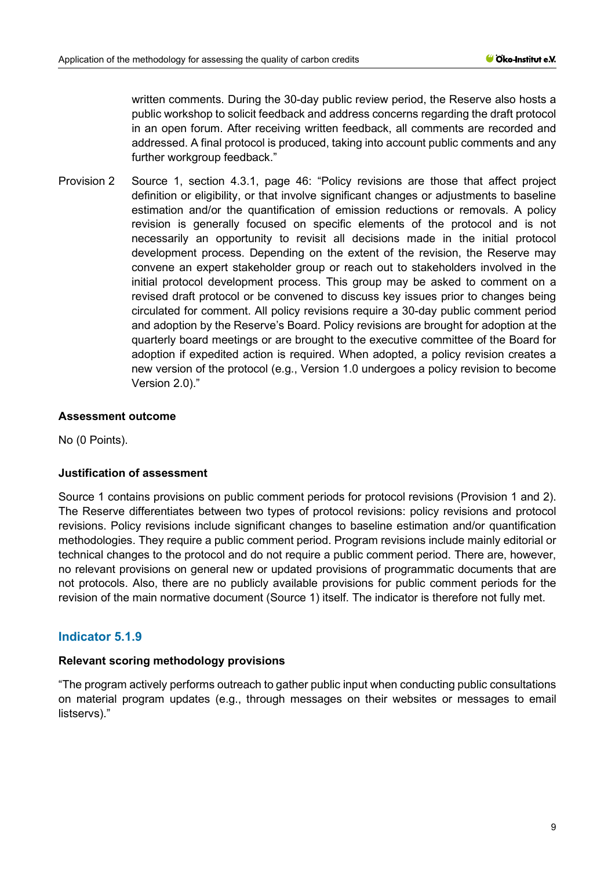written comments. During the 30-day public review period, the Reserve also hosts a public workshop to solicit feedback and address concerns regarding the draft protocol in an open forum. After receiving written feedback, all comments are recorded and addressed. A final protocol is produced, taking into account public comments and any further workgroup feedback."

Provision 2 Source 1, section 4.3.1, page 46: "Policy revisions are those that affect project definition or eligibility, or that involve significant changes or adjustments to baseline estimation and/or the quantification of emission reductions or removals. A policy revision is generally focused on specific elements of the protocol and is not necessarily an opportunity to revisit all decisions made in the initial protocol development process. Depending on the extent of the revision, the Reserve may convene an expert stakeholder group or reach out to stakeholders involved in the initial protocol development process. This group may be asked to comment on a revised draft protocol or be convened to discuss key issues prior to changes being circulated for comment. All policy revisions require a 30-day public comment period and adoption by the Reserve's Board. Policy revisions are brought for adoption at the quarterly board meetings or are brought to the executive committee of the Board for adoption if expedited action is required. When adopted, a policy revision creates a new version of the protocol (e.g., Version 1.0 undergoes a policy revision to become Version 2.0)."

### **Assessment outcome**

No (0 Points).

## **Justification of assessment**

Source 1 contains provisions on public comment periods for protocol revisions (Provision 1 and 2). The Reserve differentiates between two types of protocol revisions: policy revisions and protocol revisions. Policy revisions include significant changes to baseline estimation and/or quantification methodologies. They require a public comment period. Program revisions include mainly editorial or technical changes to the protocol and do not require a public comment period. There are, however, no relevant provisions on general new or updated provisions of programmatic documents that are not protocols. Also, there are no publicly available provisions for public comment periods for the revision of the main normative document (Source 1) itself. The indicator is therefore not fully met.

## **Indicator 5.1.9**

#### **Relevant scoring methodology provisions**

"The program actively performs outreach to gather public input when conducting public consultations on material program updates (e.g., through messages on their websites or messages to email listservs)."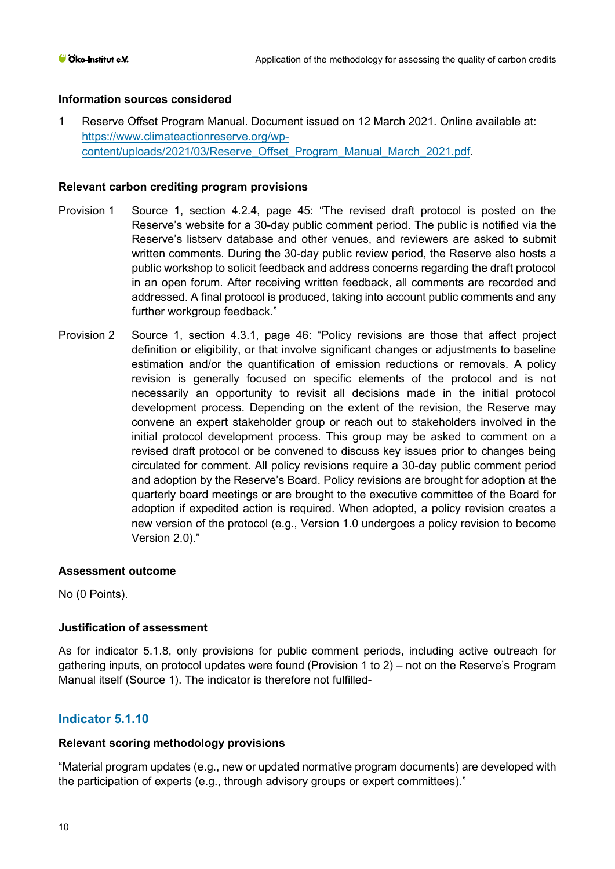## **Information sources considered**

1 Reserve Offset Program Manual. Document issued on 12 March 2021. Online available at: [https://www.climateactionreserve.org/wp](https://www.climateactionreserve.org/wp-content/uploads/2021/03/Reserve_Offset_Program_Manual_March_2021.pdf)[content/uploads/2021/03/Reserve\\_Offset\\_Program\\_Manual\\_March\\_2021.pdf.](https://www.climateactionreserve.org/wp-content/uploads/2021/03/Reserve_Offset_Program_Manual_March_2021.pdf)

### **Relevant carbon crediting program provisions**

- Provision 1 Source 1, section 4.2.4, page 45: "The revised draft protocol is posted on the Reserve's website for a 30-day public comment period. The public is notified via the Reserve's listserv database and other venues, and reviewers are asked to submit written comments. During the 30-day public review period, the Reserve also hosts a public workshop to solicit feedback and address concerns regarding the draft protocol in an open forum. After receiving written feedback, all comments are recorded and addressed. A final protocol is produced, taking into account public comments and any further workgroup feedback."
- Provision 2 Source 1, section 4.3.1, page 46: "Policy revisions are those that affect project definition or eligibility, or that involve significant changes or adjustments to baseline estimation and/or the quantification of emission reductions or removals. A policy revision is generally focused on specific elements of the protocol and is not necessarily an opportunity to revisit all decisions made in the initial protocol development process. Depending on the extent of the revision, the Reserve may convene an expert stakeholder group or reach out to stakeholders involved in the initial protocol development process. This group may be asked to comment on a revised draft protocol or be convened to discuss key issues prior to changes being circulated for comment. All policy revisions require a 30-day public comment period and adoption by the Reserve's Board. Policy revisions are brought for adoption at the quarterly board meetings or are brought to the executive committee of the Board for adoption if expedited action is required. When adopted, a policy revision creates a new version of the protocol (e.g., Version 1.0 undergoes a policy revision to become Version 2.0)."

#### **Assessment outcome**

No (0 Points).

## **Justification of assessment**

As for indicator 5.1.8, only provisions for public comment periods, including active outreach for gathering inputs, on protocol updates were found (Provision 1 to 2) – not on the Reserve's Program Manual itself (Source 1). The indicator is therefore not fulfilled-

## **Indicator 5.1.10**

## **Relevant scoring methodology provisions**

"Material program updates (e.g., new or updated normative program documents) are developed with the participation of experts (e.g., through advisory groups or expert committees)."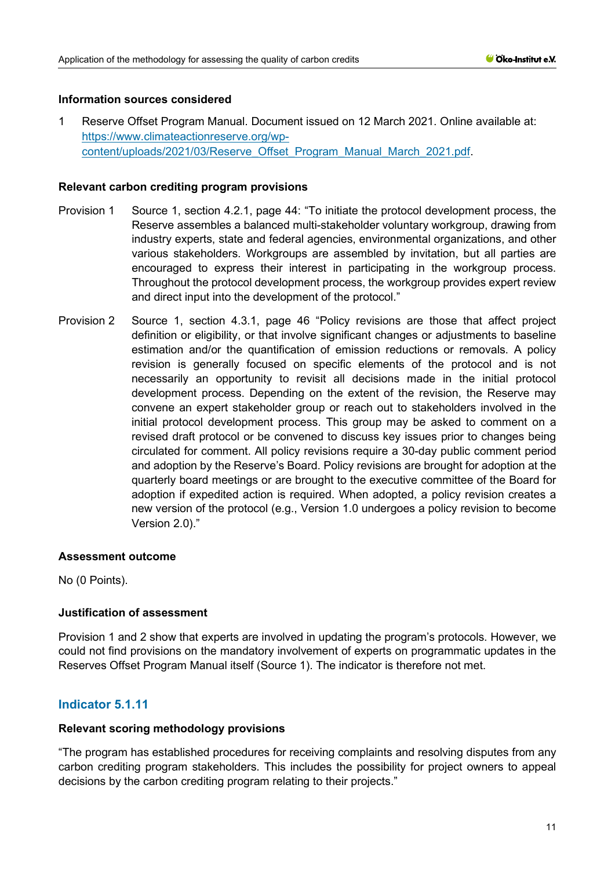## **Information sources considered**

1 Reserve Offset Program Manual. Document issued on 12 March 2021. Online available at: [https://www.climateactionreserve.org/wp](https://www.climateactionreserve.org/wp-content/uploads/2021/03/Reserve_Offset_Program_Manual_March_2021.pdf)[content/uploads/2021/03/Reserve\\_Offset\\_Program\\_Manual\\_March\\_2021.pdf.](https://www.climateactionreserve.org/wp-content/uploads/2021/03/Reserve_Offset_Program_Manual_March_2021.pdf)

### **Relevant carbon crediting program provisions**

- Provision 1 Source 1, section 4.2.1, page 44: "To initiate the protocol development process, the Reserve assembles a balanced multi-stakeholder voluntary workgroup, drawing from industry experts, state and federal agencies, environmental organizations, and other various stakeholders. Workgroups are assembled by invitation, but all parties are encouraged to express their interest in participating in the workgroup process. Throughout the protocol development process, the workgroup provides expert review and direct input into the development of the protocol."
- Provision 2 Source 1, section 4.3.1, page 46 "Policy revisions are those that affect project definition or eligibility, or that involve significant changes or adjustments to baseline estimation and/or the quantification of emission reductions or removals. A policy revision is generally focused on specific elements of the protocol and is not necessarily an opportunity to revisit all decisions made in the initial protocol development process. Depending on the extent of the revision, the Reserve may convene an expert stakeholder group or reach out to stakeholders involved in the initial protocol development process. This group may be asked to comment on a revised draft protocol or be convened to discuss key issues prior to changes being circulated for comment. All policy revisions require a 30-day public comment period and adoption by the Reserve's Board. Policy revisions are brought for adoption at the quarterly board meetings or are brought to the executive committee of the Board for adoption if expedited action is required. When adopted, a policy revision creates a new version of the protocol (e.g., Version 1.0 undergoes a policy revision to become Version 2.0)."

## **Assessment outcome**

No (0 Points).

## **Justification of assessment**

Provision 1 and 2 show that experts are involved in updating the program's protocols. However, we could not find provisions on the mandatory involvement of experts on programmatic updates in the Reserves Offset Program Manual itself (Source 1). The indicator is therefore not met.

# **Indicator 5.1.11**

#### **Relevant scoring methodology provisions**

"The program has established procedures for receiving complaints and resolving disputes from any carbon crediting program stakeholders. This includes the possibility for project owners to appeal decisions by the carbon crediting program relating to their projects."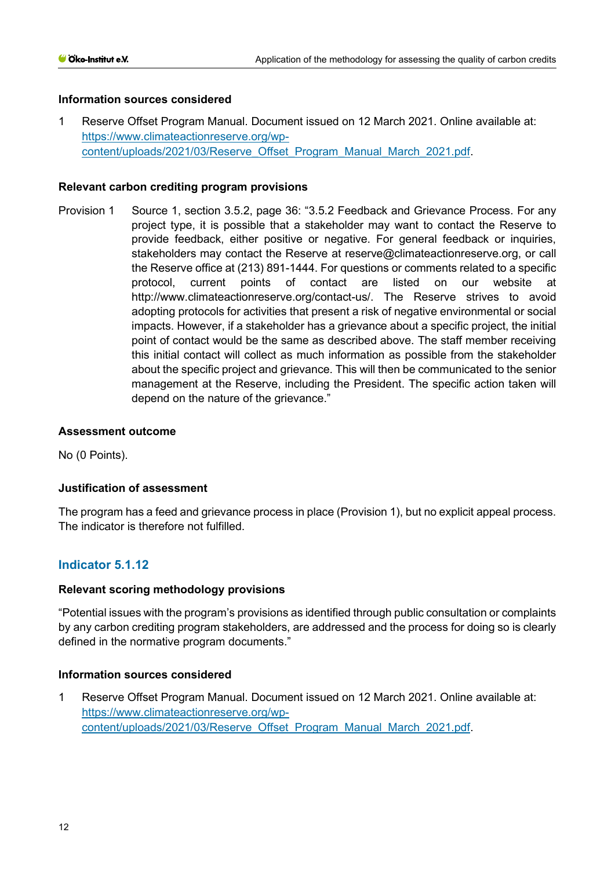## **Information sources considered**

1 Reserve Offset Program Manual. Document issued on 12 March 2021. Online available at: [https://www.climateactionreserve.org/wp](https://www.climateactionreserve.org/wp-content/uploads/2021/03/Reserve_Offset_Program_Manual_March_2021.pdf)[content/uploads/2021/03/Reserve\\_Offset\\_Program\\_Manual\\_March\\_2021.pdf.](https://www.climateactionreserve.org/wp-content/uploads/2021/03/Reserve_Offset_Program_Manual_March_2021.pdf)

## **Relevant carbon crediting program provisions**

Provision 1 Source 1, section 3.5.2, page 36: "3.5.2 Feedback and Grievance Process. For any project type, it is possible that a stakeholder may want to contact the Reserve to provide feedback, either positive or negative. For general feedback or inquiries, stakeholders may contact the Reserve at reserve@climateactionreserve.org, or call the Reserve office at (213) 891-1444. For questions or comments related to a specific protocol, current points of contact are listed on our website at http://www.climateactionreserve.org/contact-us/. The Reserve strives to avoid adopting protocols for activities that present a risk of negative environmental or social impacts. However, if a stakeholder has a grievance about a specific project, the initial point of contact would be the same as described above. The staff member receiving this initial contact will collect as much information as possible from the stakeholder about the specific project and grievance. This will then be communicated to the senior management at the Reserve, including the President. The specific action taken will depend on the nature of the grievance."

## **Assessment outcome**

No (0 Points).

## **Justification of assessment**

The program has a feed and grievance process in place (Provision 1), but no explicit appeal process. The indicator is therefore not fulfilled.

# **Indicator 5.1.12**

#### **Relevant scoring methodology provisions**

"Potential issues with the program's provisions as identified through public consultation or complaints by any carbon crediting program stakeholders, are addressed and the process for doing so is clearly defined in the normative program documents."

## **Information sources considered**

1 Reserve Offset Program Manual. Document issued on 12 March 2021. Online available at: [https://www.climateactionreserve.org/wp](https://www.climateactionreserve.org/wp-content/uploads/2021/03/Reserve_Offset_Program_Manual_March_2021.pdf)[content/uploads/2021/03/Reserve\\_Offset\\_Program\\_Manual\\_March\\_2021.pdf.](https://www.climateactionreserve.org/wp-content/uploads/2021/03/Reserve_Offset_Program_Manual_March_2021.pdf)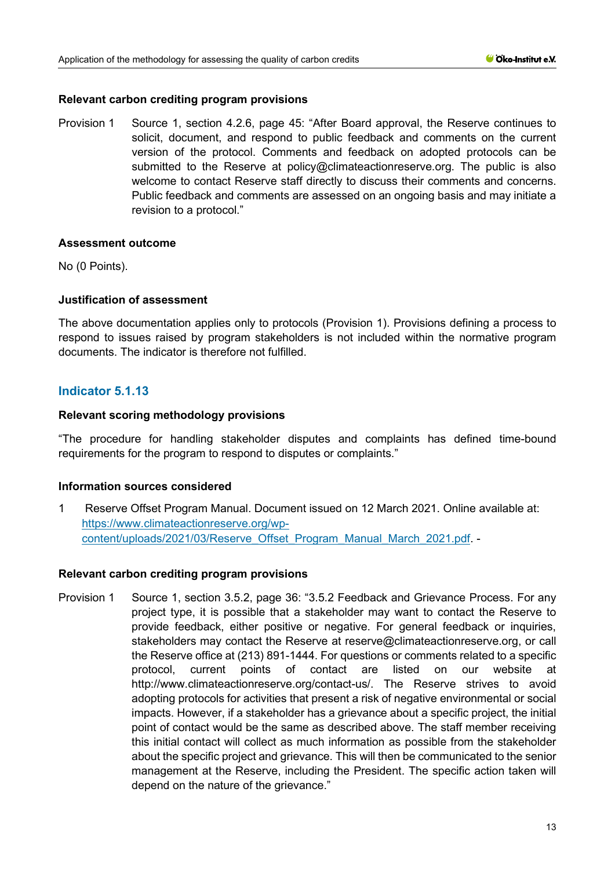## **Relevant carbon crediting program provisions**

Provision 1 Source 1, section 4.2.6, page 45: "After Board approval, the Reserve continues to solicit, document, and respond to public feedback and comments on the current version of the protocol. Comments and feedback on adopted protocols can be submitted to the Reserve at policy@climateactionreserve.org. The public is also welcome to contact Reserve staff directly to discuss their comments and concerns. Public feedback and comments are assessed on an ongoing basis and may initiate a revision to a protocol."

### **Assessment outcome**

No (0 Points).

## **Justification of assessment**

The above documentation applies only to protocols (Provision 1). Provisions defining a process to respond to issues raised by program stakeholders is not included within the normative program documents. The indicator is therefore not fulfilled.

# **Indicator 5.1.13**

## **Relevant scoring methodology provisions**

"The procedure for handling stakeholder disputes and complaints has defined time-bound requirements for the program to respond to disputes or complaints."

## **Information sources considered**

1 Reserve Offset Program Manual. Document issued on 12 March 2021. Online available at: [https://www.climateactionreserve.org/wp](https://www.climateactionreserve.org/wp-content/uploads/2021/03/Reserve_Offset_Program_Manual_March_2021.pdf)[content/uploads/2021/03/Reserve\\_Offset\\_Program\\_Manual\\_March\\_2021.pdf.](https://www.climateactionreserve.org/wp-content/uploads/2021/03/Reserve_Offset_Program_Manual_March_2021.pdf) -

#### **Relevant carbon crediting program provisions**

Provision 1 Source 1, section 3.5.2, page 36: "3.5.2 Feedback and Grievance Process. For any project type, it is possible that a stakeholder may want to contact the Reserve to provide feedback, either positive or negative. For general feedback or inquiries, stakeholders may contact the Reserve at reserve@climateactionreserve.org, or call the Reserve office at (213) 891-1444. For questions or comments related to a specific protocol, current points of contact are listed on our website at http://www.climateactionreserve.org/contact-us/. The Reserve strives to avoid adopting protocols for activities that present a risk of negative environmental or social impacts. However, if a stakeholder has a grievance about a specific project, the initial point of contact would be the same as described above. The staff member receiving this initial contact will collect as much information as possible from the stakeholder about the specific project and grievance. This will then be communicated to the senior management at the Reserve, including the President. The specific action taken will depend on the nature of the grievance."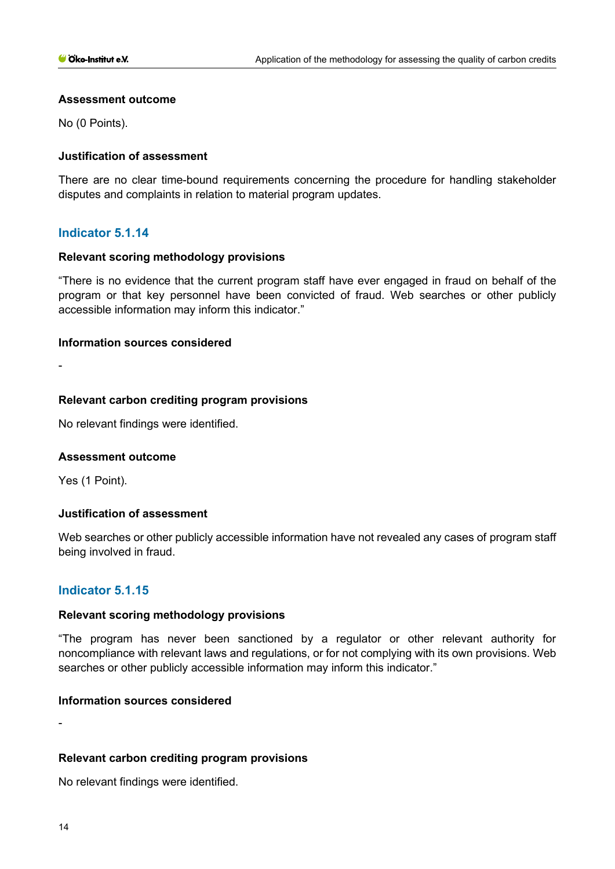### **Assessment outcome**

No (0 Points).

## **Justification of assessment**

There are no clear time-bound requirements concerning the procedure for handling stakeholder disputes and complaints in relation to material program updates.

## **Indicator 5.1.14**

### **Relevant scoring methodology provisions**

"There is no evidence that the current program staff have ever engaged in fraud on behalf of the program or that key personnel have been convicted of fraud. Web searches or other publicly accessible information may inform this indicator."

### **Information sources considered**

-

### **Relevant carbon crediting program provisions**

No relevant findings were identified.

#### **Assessment outcome**

Yes (1 Point).

## **Justification of assessment**

Web searches or other publicly accessible information have not revealed any cases of program staff being involved in fraud.

## **Indicator 5.1.15**

#### **Relevant scoring methodology provisions**

"The program has never been sanctioned by a regulator or other relevant authority for noncompliance with relevant laws and regulations, or for not complying with its own provisions. Web searches or other publicly accessible information may inform this indicator."

## **Information sources considered**

## **Relevant carbon crediting program provisions**

No relevant findings were identified.

-